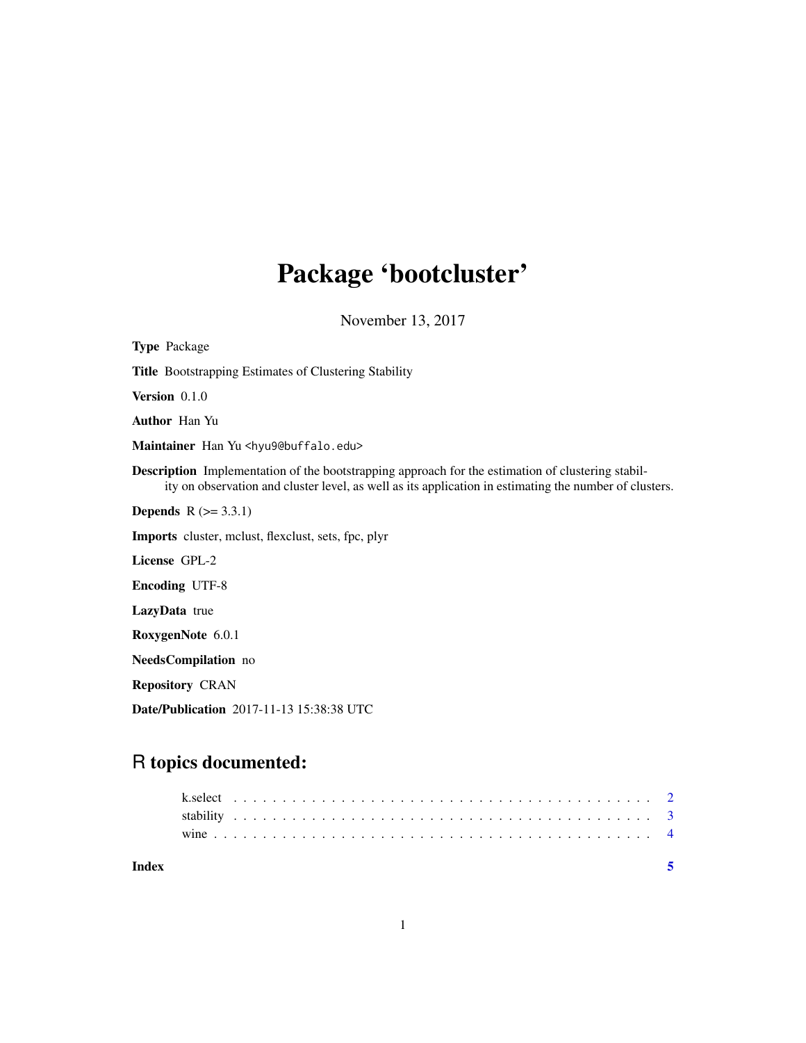## Package 'bootcluster'

November 13, 2017

| <b>Type Package</b>                                                                                                                                                                                                |
|--------------------------------------------------------------------------------------------------------------------------------------------------------------------------------------------------------------------|
| <b>Title Bootstrapping Estimates of Clustering Stability</b>                                                                                                                                                       |
| Version 0.1.0                                                                                                                                                                                                      |
| <b>Author</b> Han Yu                                                                                                                                                                                               |
| Maintainer Han Yu <hyu9@buffalo.edu></hyu9@buffalo.edu>                                                                                                                                                            |
| <b>Description</b> Implementation of the bootstrapping approach for the estimation of clustering stabil-<br>ity on observation and cluster level, as well as its application in estimating the number of clusters. |
| <b>Depends</b> $R (= 3.3.1)$                                                                                                                                                                                       |
| Imports cluster, mclust, flexclust, sets, fpc, plyr                                                                                                                                                                |
| License GPL-2                                                                                                                                                                                                      |
| <b>Encoding UTF-8</b>                                                                                                                                                                                              |
| LazyData true                                                                                                                                                                                                      |
| RoxygenNote 6.0.1                                                                                                                                                                                                  |
| NeedsCompilation no                                                                                                                                                                                                |
| <b>Repository CRAN</b>                                                                                                                                                                                             |
| <b>Date/Publication</b> 2017-11-13 15:38:38 UTC                                                                                                                                                                    |
|                                                                                                                                                                                                                    |

### R topics documented:

| Index |  |  |  |  |  |  |  |  |  |  |  |  |  |  |  |  |  |  |  |  |  |  |  |  |
|-------|--|--|--|--|--|--|--|--|--|--|--|--|--|--|--|--|--|--|--|--|--|--|--|--|
|       |  |  |  |  |  |  |  |  |  |  |  |  |  |  |  |  |  |  |  |  |  |  |  |  |
|       |  |  |  |  |  |  |  |  |  |  |  |  |  |  |  |  |  |  |  |  |  |  |  |  |
|       |  |  |  |  |  |  |  |  |  |  |  |  |  |  |  |  |  |  |  |  |  |  |  |  |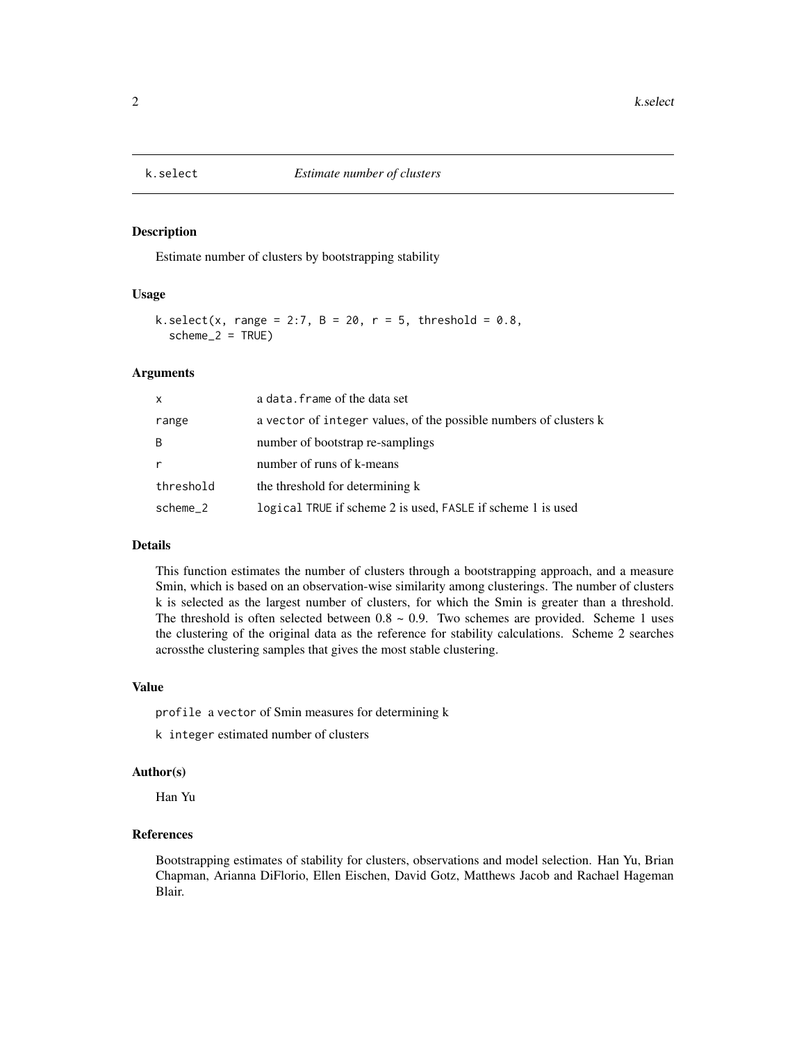<span id="page-1-0"></span>

#### Description

Estimate number of clusters by bootstrapping stability

#### Usage

```
k.select(x, range = 2:7, B = 20, r = 5, threshold = 0.8,
  scheme_2 = TRUE)
```
#### Arguments

| X            | a data. frame of the data set                                     |
|--------------|-------------------------------------------------------------------|
| range        | a vector of integer values, of the possible numbers of clusters k |
| <sub>R</sub> | number of bootstrap re-samplings                                  |
| r            | number of runs of k-means                                         |
| threshold    | the threshold for determining k                                   |
| scheme 2     | logical TRUE if scheme 2 is used, FASLE if scheme 1 is used       |

#### Details

This function estimates the number of clusters through a bootstrapping approach, and a measure Smin, which is based on an observation-wise similarity among clusterings. The number of clusters k is selected as the largest number of clusters, for which the Smin is greater than a threshold. The threshold is often selected between  $0.8 \sim 0.9$ . Two schemes are provided. Scheme 1 uses the clustering of the original data as the reference for stability calculations. Scheme 2 searches acrossthe clustering samples that gives the most stable clustering.

#### Value

profile a vector of Smin measures for determining k

k integer estimated number of clusters

#### Author(s)

Han Yu

#### References

Bootstrapping estimates of stability for clusters, observations and model selection. Han Yu, Brian Chapman, Arianna DiFlorio, Ellen Eischen, David Gotz, Matthews Jacob and Rachael Hageman Blair.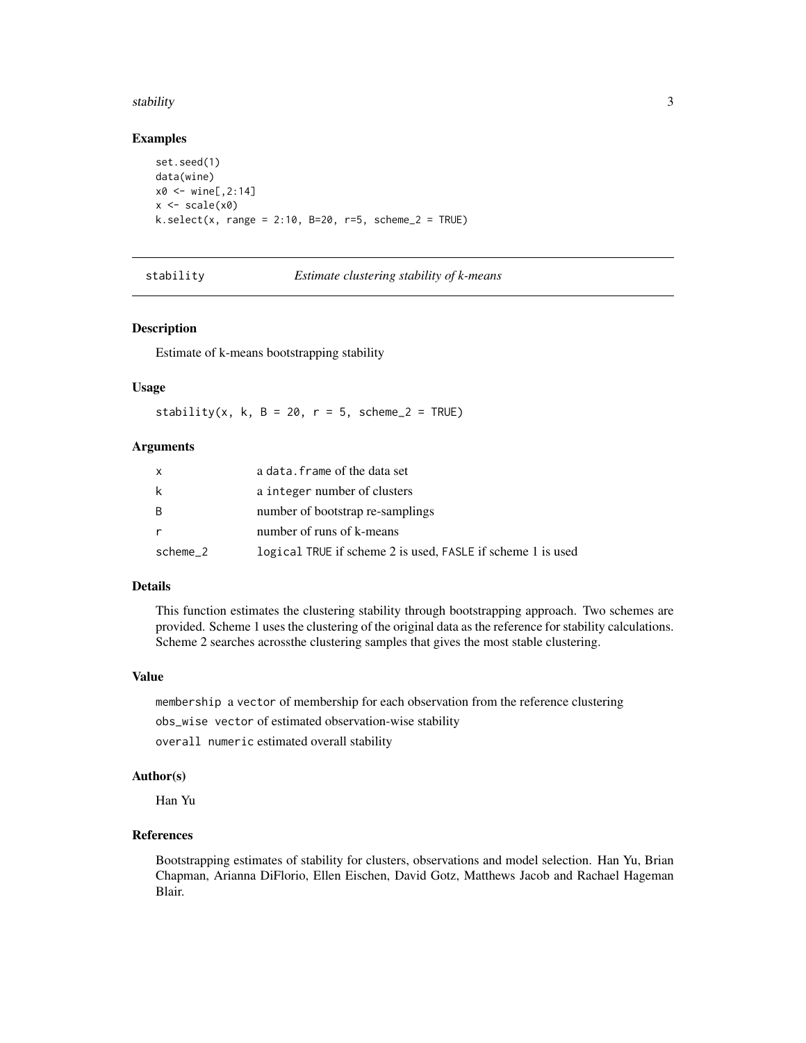#### <span id="page-2-0"></span>stability 3

#### Examples

```
set.seed(1)
data(wine)
x0 < - wine[,2:14]
x \leftarrow scale(x0)k.select(x, range = 2:10, B=20, r=5, scheme_2 = TRUE)
```
#### stability *Estimate clustering stability of k-means*

#### Description

Estimate of k-means bootstrapping stability

#### Usage

stability(x, k, B = 20,  $r = 5$ , scheme\_2 = TRUE)

#### Arguments

| $\mathsf{x}$ | a data. frame of the data set                               |
|--------------|-------------------------------------------------------------|
| k            | a integer number of clusters                                |
| B            | number of bootstrap re-samplings                            |
| $\mathsf{r}$ | number of runs of k-means                                   |
| scheme 2     | logical TRUE if scheme 2 is used, FASLE if scheme 1 is used |

#### Details

This function estimates the clustering stability through bootstrapping approach. Two schemes are provided. Scheme 1 uses the clustering of the original data as the reference for stability calculations. Scheme 2 searches acrossthe clustering samples that gives the most stable clustering.

#### Value

membership a vector of membership for each observation from the reference clustering obs\_wise vector of estimated observation-wise stability overall numeric estimated overall stability

### Author(s)

Han Yu

#### References

Bootstrapping estimates of stability for clusters, observations and model selection. Han Yu, Brian Chapman, Arianna DiFlorio, Ellen Eischen, David Gotz, Matthews Jacob and Rachael Hageman Blair.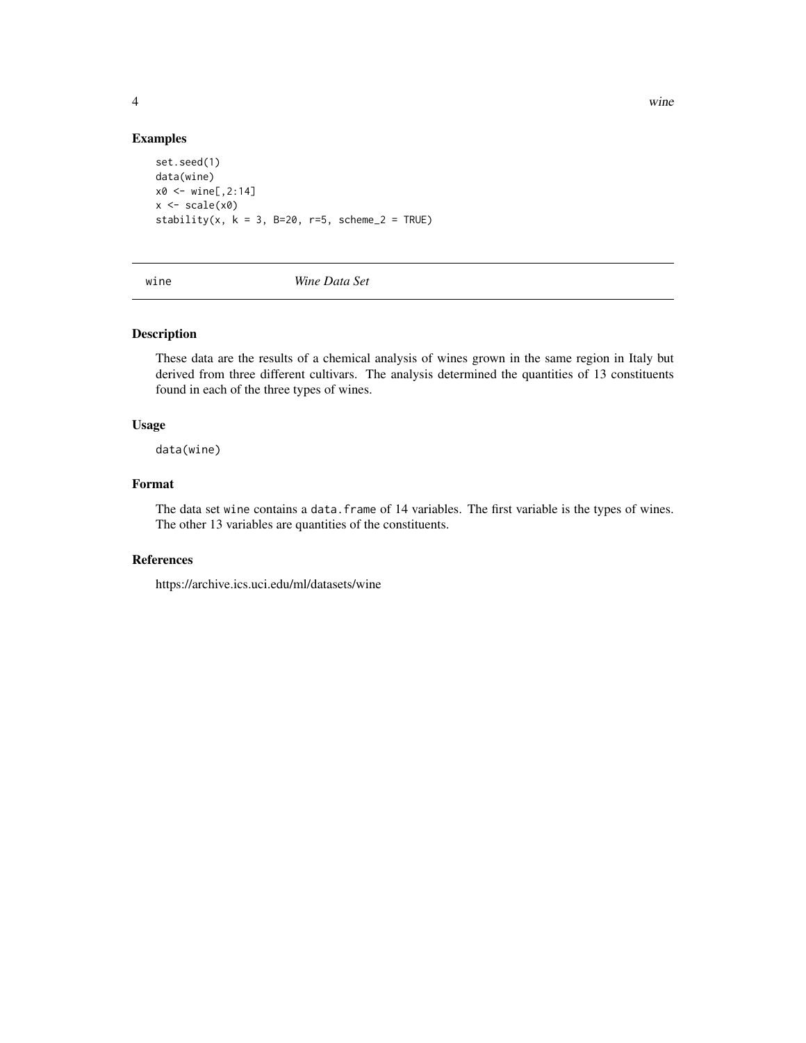4 wine

#### Examples

```
set.seed(1)
data(wine)
x0 <- wine[,2:14]
x \leftarrow scale(x0)stability(x, k = 3, B=20, r=5, scheme_2 = TRUE)
```
wine *Wine Data Set*

#### Description

These data are the results of a chemical analysis of wines grown in the same region in Italy but derived from three different cultivars. The analysis determined the quantities of 13 constituents found in each of the three types of wines.

#### Usage

data(wine)

#### Format

The data set wine contains a data.frame of 14 variables. The first variable is the types of wines. The other 13 variables are quantities of the constituents.

#### References

https://archive.ics.uci.edu/ml/datasets/wine

<span id="page-3-0"></span>